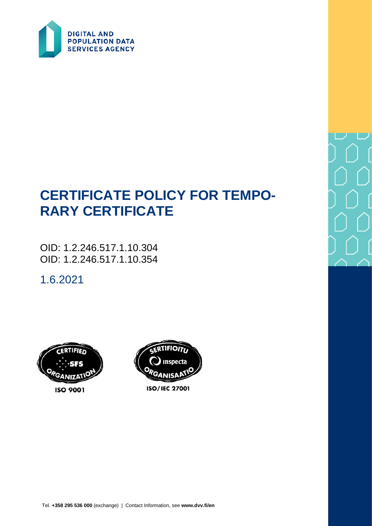

# **CERTIFICATE POLICY FOR TEMPO-RARY CERTIFICATE**

OID: 1.2.246.517.1.10.304 OID: 1.2.246.517.1.10.354

1.6.2021





**ISO/IEC 27001**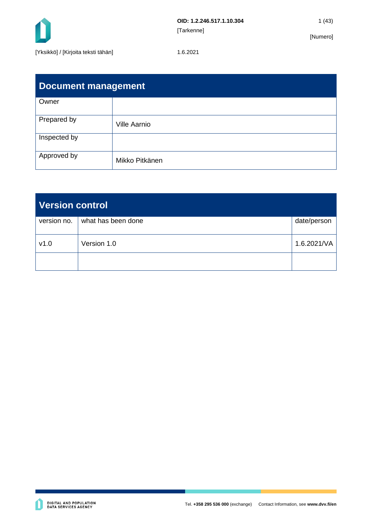

| <b>Document management</b> |                     |  |
|----------------------------|---------------------|--|
| Owner                      |                     |  |
| Prepared by                | <b>Ville Aarnio</b> |  |
| Inspected by               |                     |  |
| Approved by                | Mikko Pitkänen      |  |

| <b>Version control</b> |                    |             |
|------------------------|--------------------|-------------|
| version no.            | what has been done | date/person |
| v1.0                   | Version 1.0        | 1.6.2021/VA |
|                        |                    |             |

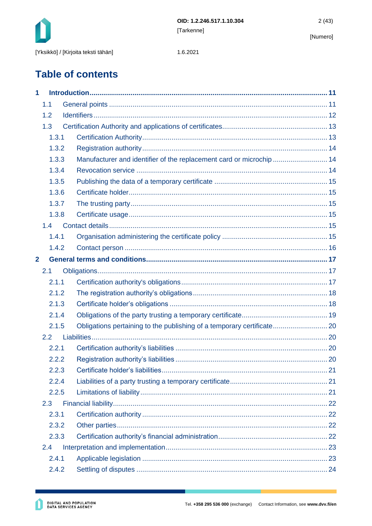

1.6.2021

## **Table of contents**

| 1              |       |                                                                      |  |
|----------------|-------|----------------------------------------------------------------------|--|
|                | 1.1   |                                                                      |  |
|                | 1.2   |                                                                      |  |
|                | 1.3   |                                                                      |  |
|                | 1.3.1 |                                                                      |  |
|                | 1.3.2 |                                                                      |  |
|                | 1.3.3 | Manufacturer and identifier of the replacement card or microchip  14 |  |
|                | 1.3.4 |                                                                      |  |
|                | 1.3.5 |                                                                      |  |
|                | 1.3.6 |                                                                      |  |
|                | 1.3.7 |                                                                      |  |
|                | 1.3.8 |                                                                      |  |
|                | 1.4   |                                                                      |  |
|                | 1.4.1 |                                                                      |  |
|                | 1.4.2 |                                                                      |  |
| $\overline{2}$ |       |                                                                      |  |
|                | 2.1   |                                                                      |  |
|                | 2.1.1 |                                                                      |  |
|                | 2.1.2 |                                                                      |  |
|                | 2.1.3 |                                                                      |  |
|                | 2.1.4 |                                                                      |  |
|                | 2.1.5 |                                                                      |  |
|                | 2.2   |                                                                      |  |
|                | 2.2.1 |                                                                      |  |
|                | 2.2.2 |                                                                      |  |
|                | 2.2.3 |                                                                      |  |
|                | 2.2.4 |                                                                      |  |
|                | 2.2.5 |                                                                      |  |
|                | 2.3   |                                                                      |  |
|                | 2.3.1 |                                                                      |  |
|                | 2.3.2 |                                                                      |  |
|                | 2.3.3 |                                                                      |  |
|                | 2.4   |                                                                      |  |
|                | 2.4.1 |                                                                      |  |
|                | 2.4.2 |                                                                      |  |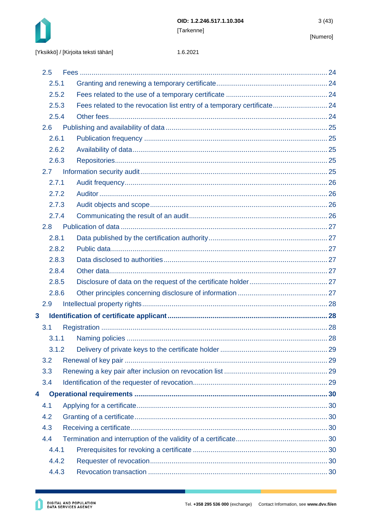

#### 1.6.2021

|              | 2.5           |                                                                         |  |
|--------------|---------------|-------------------------------------------------------------------------|--|
|              | 2.5.1         |                                                                         |  |
|              | 2.5.2         |                                                                         |  |
|              | 2.5.3         | Fees related to the revocation list entry of a temporary certificate 24 |  |
|              | 2.5.4         |                                                                         |  |
|              | 2.6           |                                                                         |  |
|              | 2.6.1         |                                                                         |  |
|              | 2.6.2         |                                                                         |  |
|              | 2.6.3         |                                                                         |  |
|              | $2.7^{\circ}$ |                                                                         |  |
|              | 2.7.1         |                                                                         |  |
|              | 2.7.2         |                                                                         |  |
|              | 2.7.3         |                                                                         |  |
|              | 2.7.4         |                                                                         |  |
|              | 2.8           |                                                                         |  |
|              | 2.8.1         |                                                                         |  |
|              | 2.8.2         |                                                                         |  |
|              | 2.8.3         |                                                                         |  |
|              | 2.8.4         |                                                                         |  |
|              | 2.8.5         |                                                                         |  |
|              | 2.8.6         |                                                                         |  |
|              | 2.9           |                                                                         |  |
| $\mathbf{3}$ |               |                                                                         |  |
|              | 3.1           |                                                                         |  |
|              | 3.1.1         |                                                                         |  |
|              | 3.1.2         |                                                                         |  |
|              | 3.2           |                                                                         |  |
|              | 3.3           |                                                                         |  |
|              | 3.4           |                                                                         |  |
| 4            |               |                                                                         |  |
|              | 4.1           |                                                                         |  |
|              | 4.2           |                                                                         |  |
|              | 4.3           |                                                                         |  |
|              | 4.4           |                                                                         |  |
|              | 4.4.1         |                                                                         |  |
|              | 4.4.2         |                                                                         |  |
|              | 4.4.3         |                                                                         |  |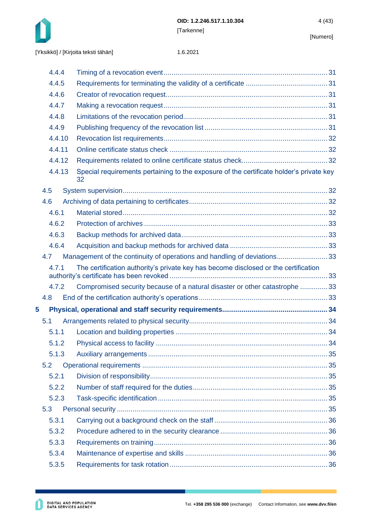

|   | 4.4.4  |                                                                                               |  |
|---|--------|-----------------------------------------------------------------------------------------------|--|
|   | 4.4.5  |                                                                                               |  |
|   | 4.4.6  |                                                                                               |  |
|   | 4.4.7  |                                                                                               |  |
|   | 4.4.8  |                                                                                               |  |
|   | 4.4.9  |                                                                                               |  |
|   | 4.4.10 |                                                                                               |  |
|   | 4.4.11 |                                                                                               |  |
|   | 4.4.12 |                                                                                               |  |
|   | 4.4.13 | Special requirements pertaining to the exposure of the certificate holder's private key<br>32 |  |
|   | 4.5    |                                                                                               |  |
|   | 4.6    |                                                                                               |  |
|   | 4.6.1  |                                                                                               |  |
|   | 4.6.2  |                                                                                               |  |
|   | 4.6.3  |                                                                                               |  |
|   | 4.6.4  |                                                                                               |  |
|   | 4.7    | Management of the continuity of operations and handling of deviations33                       |  |
|   | 4.7.1  | The certification authority's private key has become disclosed or the certification           |  |
|   | 4.7.2  | Compromised security because of a natural disaster or other catastrophe  33                   |  |
|   | 4.8    |                                                                                               |  |
| 5 |        |                                                                                               |  |
|   | 5.1    |                                                                                               |  |
|   | 5.1.1  |                                                                                               |  |
|   | 5.1.2  |                                                                                               |  |
|   | 5.1.3  |                                                                                               |  |
|   | 5.2    |                                                                                               |  |
|   | 5.2.1  |                                                                                               |  |
|   | 5.2.2  |                                                                                               |  |
|   | 5.2.3  |                                                                                               |  |
|   | 5.3    |                                                                                               |  |
|   | 5.3.1  |                                                                                               |  |
|   | 5.3.2  |                                                                                               |  |
|   | 5.3.3  |                                                                                               |  |
|   | 5.3.4  |                                                                                               |  |
|   | 5.3.5  |                                                                                               |  |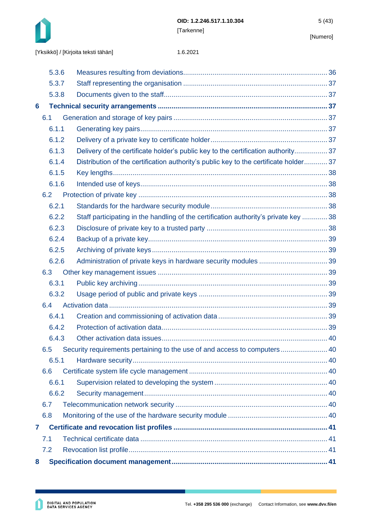

| 5.3.6 |                                                                                       |  |
|-------|---------------------------------------------------------------------------------------|--|
| 5.3.7 |                                                                                       |  |
| 5.3.8 |                                                                                       |  |
| 6     |                                                                                       |  |
| 6.1   |                                                                                       |  |
| 6.1.1 |                                                                                       |  |
| 6.1.2 |                                                                                       |  |
| 6.1.3 | Delivery of the certificate holder's public key to the certification authority 37     |  |
| 6.1.4 | Distribution of the certification authority's public key to the certificate holder 37 |  |
| 6.1.5 |                                                                                       |  |
| 6.1.6 |                                                                                       |  |
| 6.2   |                                                                                       |  |
| 6.2.1 |                                                                                       |  |
| 6.2.2 | Staff participating in the handling of the certification authority's private key  38  |  |
| 6.2.3 |                                                                                       |  |
| 6.2.4 |                                                                                       |  |
| 6.2.5 |                                                                                       |  |
| 6.2.6 |                                                                                       |  |
| 6.3   |                                                                                       |  |
| 6.3.1 |                                                                                       |  |
| 6.3.2 |                                                                                       |  |
| 6.4   |                                                                                       |  |
| 6.4.1 |                                                                                       |  |
| 6.4.2 |                                                                                       |  |
| 6.4.3 |                                                                                       |  |
| 6.5   | Security requirements pertaining to the use of and access to computers 40             |  |
| 6.5.1 |                                                                                       |  |
| 6.6   |                                                                                       |  |
| 6.6.1 |                                                                                       |  |
| 6.6.2 |                                                                                       |  |
| 6.7   |                                                                                       |  |
| 6.8   |                                                                                       |  |
| 7     |                                                                                       |  |
| 7.1   |                                                                                       |  |
| 7.2   |                                                                                       |  |
| 8     |                                                                                       |  |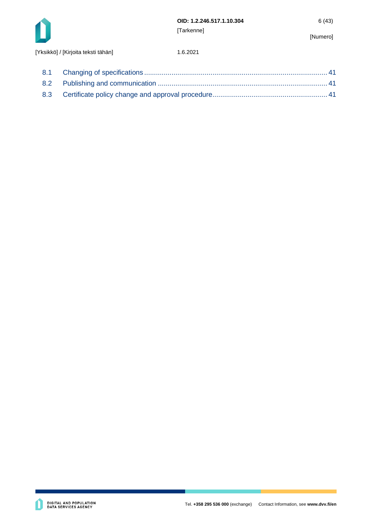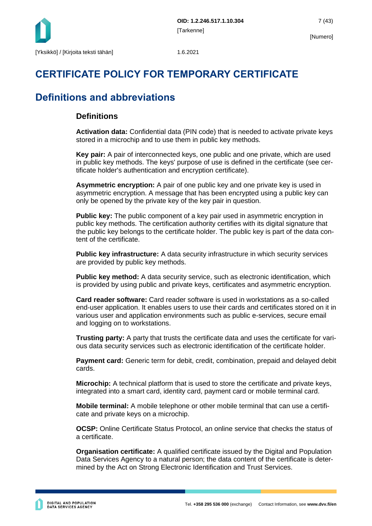

## **CERTIFICATE POLICY FOR TEMPORARY CERTIFICATE**

## **Definitions and abbreviations**

## **Definitions**

**Activation data:** Confidential data (PIN code) that is needed to activate private keys stored in a microchip and to use them in public key methods.

**Key pair:** A pair of interconnected keys, one public and one private, which are used in public key methods. The keys' purpose of use is defined in the certificate (see certificate holder's authentication and encryption certificate).

**Asymmetric encryption:** A pair of one public key and one private key is used in asymmetric encryption. A message that has been encrypted using a public key can only be opened by the private key of the key pair in question.

**Public key:** The public component of a key pair used in asymmetric encryption in public key methods. The certification authority certifies with its digital signature that the public key belongs to the certificate holder. The public key is part of the data content of the certificate.

**Public key infrastructure:** A data security infrastructure in which security services are provided by public key methods.

**Public key method:** A data security service, such as electronic identification, which is provided by using public and private keys, certificates and asymmetric encryption.

**Card reader software:** Card reader software is used in workstations as a so-called end-user application. It enables users to use their cards and certificates stored on it in various user and application environments such as public e-services, secure email and logging on to workstations.

**Trusting party:** A party that trusts the certificate data and uses the certificate for various data security services such as electronic identification of the certificate holder.

**Payment card:** Generic term for debit, credit, combination, prepaid and delayed debit cards.

**Microchip:** A technical platform that is used to store the certificate and private keys, integrated into a smart card, identity card, payment card or mobile terminal card.

**Mobile terminal:** A mobile telephone or other mobile terminal that can use a certificate and private keys on a microchip.

**OCSP:** Online Certificate Status Protocol, an online service that checks the status of a certificate.

**Organisation certificate:** A qualified certificate issued by the Digital and Population Data Services Agency to a natural person; the data content of the certificate is determined by the Act on Strong Electronic Identification and Trust Services.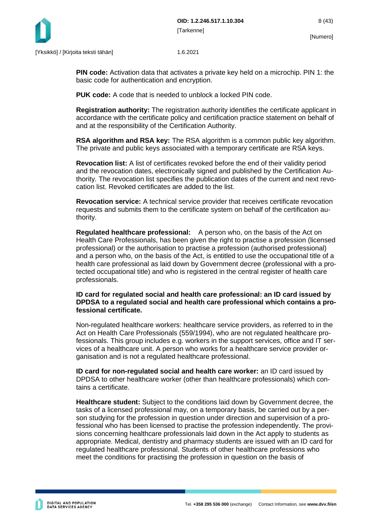

**PIN code:** Activation data that activates a private key held on a microchip. PIN 1: the basic code for authentication and encryption.

**PUK code:** A code that is needed to unblock a locked PIN code.

**Registration authority:** The registration authority identifies the certificate applicant in accordance with the certificate policy and certification practice statement on behalf of and at the responsibility of the Certification Authority.

**RSA algorithm and RSA key:** The RSA algorithm is a common public key algorithm. The private and public keys associated with a temporary certificate are RSA keys.

**Revocation list:** A list of certificates revoked before the end of their validity period and the revocation dates, electronically signed and published by the Certification Authority. The revocation list specifies the publication dates of the current and next revocation list. Revoked certificates are added to the list.

**Revocation service:** A technical service provider that receives certificate revocation requests and submits them to the certificate system on behalf of the certification authority.

**Regulated healthcare professional:** A person who, on the basis of the Act on Health Care Professionals, has been given the right to practise a profession (licensed professional) or the authorisation to practise a profession (authorised professional) and a person who, on the basis of the Act, is entitled to use the occupational title of a health care professional as laid down by Government decree (professional with a protected occupational title) and who is registered in the central register of health care professionals.

#### **ID card for regulated social and health care professional: an ID card issued by DPDSA to a regulated social and health care professional which contains a professional certificate.**

Non-regulated healthcare workers: healthcare service providers, as referred to in the Act on Health Care Professionals (559/1994), who are not regulated healthcare professionals. This group includes e.g. workers in the support services, office and IT services of a healthcare unit. A person who works for a healthcare service provider organisation and is not a regulated healthcare professional.

**ID card for non-regulated social and health care worker:** an ID card issued by DPDSA to other healthcare worker (other than healthcare professionals) which contains a certificate.

**Healthcare student:** Subject to the conditions laid down by Government decree, the tasks of a licensed professional may, on a temporary basis, be carried out by a person studying for the profession in question under direction and supervision of a professional who has been licensed to practise the profession independently. The provisions concerning healthcare professionals laid down in the Act apply to students as appropriate. Medical, dentistry and pharmacy students are issued with an ID card for regulated healthcare professional. Students of other healthcare professions who meet the conditions for practising the profession in question on the basis of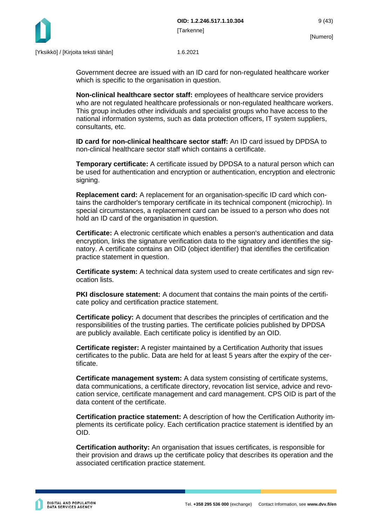

Government decree are issued with an ID card for non-regulated healthcare worker which is specific to the organisation in question.

**Non-clinical healthcare sector staff:** employees of healthcare service providers who are not regulated healthcare professionals or non-regulated healthcare workers. This group includes other individuals and specialist groups who have access to the national information systems, such as data protection officers, IT system suppliers, consultants, etc.

**ID card for non-clinical healthcare sector staff:** An ID card issued by DPDSA to non-clinical healthcare sector staff which contains a certificate.

**Temporary certificate:** A certificate issued by DPDSA to a natural person which can be used for authentication and encryption or authentication, encryption and electronic signing.

**Replacement card:** A replacement for an organisation-specific ID card which contains the cardholder's temporary certificate in its technical component (microchip). In special circumstances, a replacement card can be issued to a person who does not hold an ID card of the organisation in question.

**Certificate:** A electronic certificate which enables a person's authentication and data encryption, links the signature verification data to the signatory and identifies the signatory. A certificate contains an OID (object identifier) that identifies the certification practice statement in question.

**Certificate system:** A technical data system used to create certificates and sign revocation lists.

**PKI disclosure statement:** A document that contains the main points of the certificate policy and certification practice statement.

**Certificate policy:** A document that describes the principles of certification and the responsibilities of the trusting parties. The certificate policies published by DPDSA are publicly available. Each certificate policy is identified by an OID.

**Certificate register:** A register maintained by a Certification Authority that issues certificates to the public. Data are held for at least 5 years after the expiry of the certificate.

**Certificate management system:** A data system consisting of certificate systems, data communications, a certificate directory, revocation list service, advice and revocation service, certificate management and card management. CPS OID is part of the data content of the certificate.

**Certification practice statement:** A description of how the Certification Authority implements its certificate policy. Each certification practice statement is identified by an OID.

**Certification authority:** An organisation that issues certificates, is responsible for their provision and draws up the certificate policy that describes its operation and the associated certification practice statement.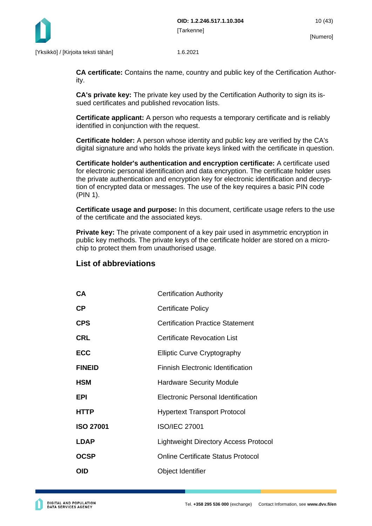

**CA certificate:** Contains the name, country and public key of the Certification Authority.

**CA's private key:** The private key used by the Certification Authority to sign its issued certificates and published revocation lists.

**Certificate applicant:** A person who requests a temporary certificate and is reliably identified in conjunction with the request.

**Certificate holder:** A person whose identity and public key are verified by the CA's digital signature and who holds the private keys linked with the certificate in question.

**Certificate holder's authentication and encryption certificate:** A certificate used for electronic personal identification and data encryption. The certificate holder uses the private authentication and encryption key for electronic identification and decryption of encrypted data or messages. The use of the key requires a basic PIN code (PIN 1).

**Certificate usage and purpose:** In this document, certificate usage refers to the use of the certificate and the associated keys.

**Private key:** The private component of a key pair used in asymmetric encryption in public key methods. The private keys of the certificate holder are stored on a microchip to protect them from unauthorised usage.

### **List of abbreviations**

| CA               | <b>Certification Authority</b>            |
|------------------|-------------------------------------------|
| СP               | <b>Certificate Policy</b>                 |
| CPS              | <b>Certification Practice Statement</b>   |
| CRL              | Certificate Revocation List               |
| ECC              | <b>Elliptic Curve Cryptography</b>        |
| <b>FINEID</b>    | <b>Finnish Electronic Identification</b>  |
| HSM              | <b>Hardware Security Module</b>           |
| EPI              | <b>Electronic Personal Identification</b> |
| HTTP             | <b>Hypertext Transport Protocol</b>       |
| <b>ISO 27001</b> | <b>ISO/IEC 27001</b>                      |
| <b>LDAP</b>      | Lightweight Directory Access Protocol     |
| OCSP             | Online Certificate Status Protocol        |
| OID              | Object Identifier                         |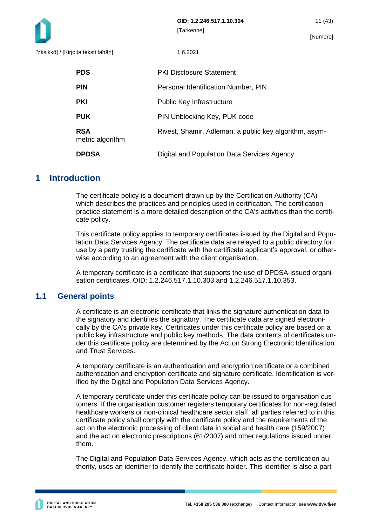

| <b>PDS</b>                     | <b>PKI Disclosure Statement</b>                        |
|--------------------------------|--------------------------------------------------------|
| <b>PIN</b>                     | Personal Identification Number, PIN                    |
| <b>PKI</b>                     | Public Key Infrastructure                              |
| <b>PUK</b>                     | PIN Unblocking Key, PUK code                           |
| <b>RSA</b><br>metric algorithm | Rivest, Shamir, Adleman, a public key algorithm, asym- |
| <b>DPDSA</b>                   | Digital and Population Data Services Agency            |

## <span id="page-11-0"></span>**1 Introduction**

The certificate policy is a document drawn up by the Certification Authority (CA) which describes the practices and principles used in certification. The certification practice statement is a more detailed description of the CA's activities than the certificate policy.

This certificate policy applies to temporary certificates issued by the Digital and Population Data Services Agency. The certificate data are relayed to a public directory for use by a party trusting the certificate with the certificate applicant's approval, or otherwise according to an agreement with the client organisation.

A temporary certificate is a certificate that supports the use of DPDSA-issued organisation certificates, OID: 1.2.246.517.1.10.303 and 1.2.246.517.1.10.353.

## <span id="page-11-1"></span>**1.1 General points**

A certificate is an electronic certificate that links the signature authentication data to the signatory and identifies the signatory. The certificate data are signed electronically by the CA's private key. Certificates under this certificate policy are based on a public key infrastructure and public key methods. The data contents of certificates under this certificate policy are determined by the Act on Strong Electronic Identification and Trust Services.

A temporary certificate is an authentication and encryption certificate or a combined authentication and encryption certificate and signature certificate. Identification is verified by the Digital and Population Data Services Agency.

A temporary certificate under this certificate policy can be issued to organisation customers. If the organisation customer registers temporary certificates for non-regulated healthcare workers or non-clinical healthcare sector staff, all parties referred to in this certificate policy shall comply with the certificate policy and the requirements of the act on the electronic processing of client data in social and health care (159/2007) and the act on electronic prescriptions (61/2007) and other regulations issued under them.

The Digital and Population Data Services Agency, which acts as the certification authority, uses an identifier to identify the certificate holder. This identifier is also a part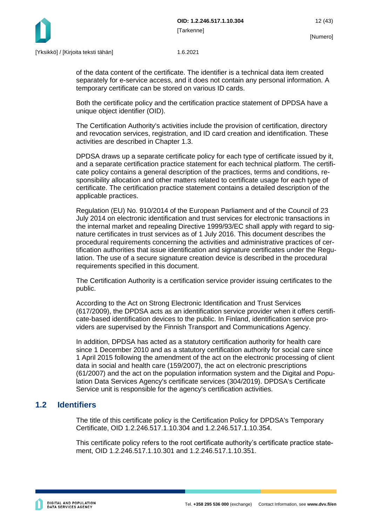

of the data content of the certificate. The identifier is a technical data item created separately for e-service access, and it does not contain any personal information. A temporary certificate can be stored on various ID cards.

Both the certificate policy and the certification practice statement of DPDSA have a unique object identifier (OID).

The Certification Authority's activities include the provision of certification, directory and revocation services, registration, and ID card creation and identification. These activities are described in Chapter 1.3.

DPDSA draws up a separate certificate policy for each type of certificate issued by it, and a separate certification practice statement for each technical platform. The certificate policy contains a general description of the practices, terms and conditions, responsibility allocation and other matters related to certificate usage for each type of certificate. The certification practice statement contains a detailed description of the applicable practices.

Regulation (EU) No. 910/2014 of the European Parliament and of the Council of 23 July 2014 on electronic identification and trust services for electronic transactions in the internal market and repealing Directive 1999/93/EC shall apply with regard to signature certificates in trust services as of 1 July 2016. This document describes the procedural requirements concerning the activities and administrative practices of certification authorities that issue identification and signature certificates under the Regulation. The use of a secure signature creation device is described in the procedural requirements specified in this document.

The Certification Authority is a certification service provider issuing certificates to the public.

According to the Act on Strong Electronic Identification and Trust Services (617/2009), the DPDSA acts as an identification service provider when it offers certificate-based identification devices to the public. In Finland, identification service providers are supervised by the Finnish Transport and Communications Agency.

In addition, DPDSA has acted as a statutory certification authority for health care since 1 December 2010 and as a statutory certification authority for social care since 1 April 2015 following the amendment of the act on the electronic processing of client data in social and health care (159/2007), the act on electronic prescriptions (61/2007) and the act on the population information system and the Digital and Population Data Services Agency's certificate services (304/2019). DPDSA's Certificate Service unit is responsible for the agency's certification activities.

## <span id="page-12-0"></span>**1.2 Identifiers**

The title of this certificate policy is the Certification Policy for DPDSA's Temporary Certificate, OID 1.2.246.517.1.10.304 and 1.2.246.517.1.10.354.

This certificate policy refers to the root certificate authority's certificate practice statement, OID 1.2.246.517.1.10.301 and 1.2.246.517.1.10.351.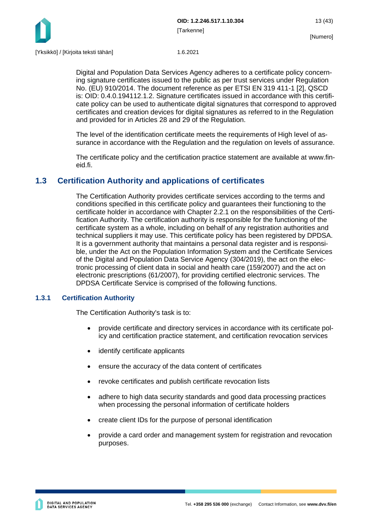

Digital and Population Data Services Agency adheres to a certificate policy concerning signature certificates issued to the public as per trust services under Regulation No. (EU) 910/2014. The document reference as per ETSI EN 319 411-1 [2], QSCD is: OID: 0.4.0.194112.1.2. Signature certificates issued in accordance with this certificate policy can be used to authenticate digital signatures that correspond to approved certificates and creation devices for digital signatures as referred to in the Regulation and provided for in Articles 28 and 29 of the Regulation.

The level of the identification certificate meets the requirements of High level of assurance in accordance with the Regulation and the regulation on levels of assurance.

The certificate policy and the certification practice statement are available at www.fineid.fi.

## <span id="page-13-0"></span>**1.3 Certification Authority and applications of certificates**

The Certification Authority provides certificate services according to the terms and conditions specified in this certificate policy and guarantees their functioning to the certificate holder in accordance with Chapter 2.2.1 on the responsibilities of the Certification Authority. The certification authority is responsible for the functioning of the certificate system as a whole, including on behalf of any registration authorities and technical suppliers it may use. This certificate policy has been registered by DPDSA. It is a government authority that maintains a personal data register and is responsible, under the Act on the Population Information System and the Certificate Services of the Digital and Population Data Service Agency (304/2019), the act on the electronic processing of client data in social and health care (159/2007) and the act on electronic prescriptions (61/2007), for providing certified electronic services. The DPDSA Certificate Service is comprised of the following functions.

## <span id="page-13-1"></span>**1.3.1 Certification Authority**

The Certification Authority's task is to:

- provide certificate and directory services in accordance with its certificate policy and certification practice statement, and certification revocation services
- identify certificate applicants
- ensure the accuracy of the data content of certificates
- revoke certificates and publish certificate revocation lists
- adhere to high data security standards and good data processing practices when processing the personal information of certificate holders
- create client IDs for the purpose of personal identification
- provide a card order and management system for registration and revocation purposes.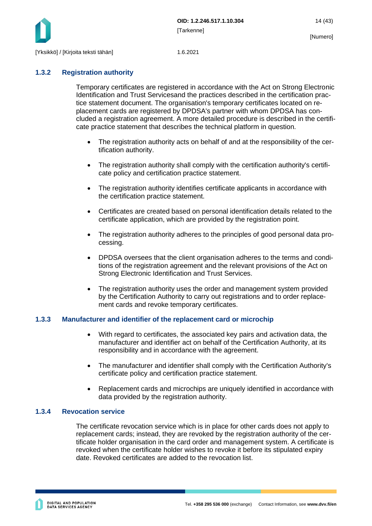

## <span id="page-14-0"></span>**1.3.2 Registration authority**

Temporary certificates are registered in accordance with the Act on Strong Electronic Identification and Trust Servicesand the practices described in the certification practice statement document. The organisation's temporary certificates located on replacement cards are registered by DPDSA's partner with whom DPDSA has concluded a registration agreement. A more detailed procedure is described in the certificate practice statement that describes the technical platform in question.

- The registration authority acts on behalf of and at the responsibility of the certification authority.
- The registration authority shall comply with the certification authority's certificate policy and certification practice statement.
- The registration authority identifies certificate applicants in accordance with the certification practice statement.
- Certificates are created based on personal identification details related to the certificate application, which are provided by the registration point.
- The registration authority adheres to the principles of good personal data processing.
- DPDSA oversees that the client organisation adheres to the terms and conditions of the registration agreement and the relevant provisions of the Act on Strong Electronic Identification and Trust Services.
- The registration authority uses the order and management system provided by the Certification Authority to carry out registrations and to order replacement cards and revoke temporary certificates.

## <span id="page-14-1"></span>**1.3.3 Manufacturer and identifier of the replacement card or microchip**

- With regard to certificates, the associated key pairs and activation data, the manufacturer and identifier act on behalf of the Certification Authority, at its responsibility and in accordance with the agreement.
- The manufacturer and identifier shall comply with the Certification Authority's certificate policy and certification practice statement.
- Replacement cards and microchips are uniquely identified in accordance with data provided by the registration authority.

#### <span id="page-14-2"></span>**1.3.4 Revocation service**

The certificate revocation service which is in place for other cards does not apply to replacement cards; instead, they are revoked by the registration authority of the certificate holder organisation in the card order and management system. A certificate is revoked when the certificate holder wishes to revoke it before its stipulated expiry date. Revoked certificates are added to the revocation list.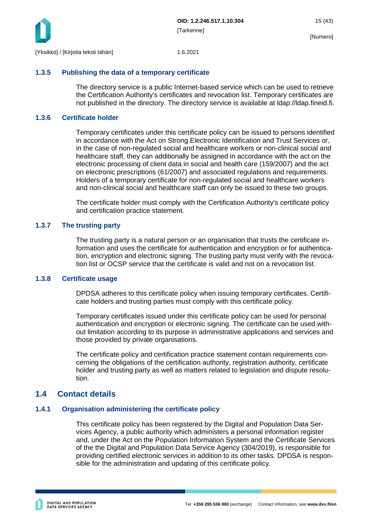

#### <span id="page-15-0"></span>**1.3.5 Publishing the data of a temporary certificate**

The directory service is a public Internet-based service which can be used to retrieve the Certification Authority's certificates and revocation list. Temporary certificates are not published in the directory. The directory service is available at ldap://ldap.fineid.fi.

#### <span id="page-15-1"></span>**1.3.6 Certificate holder**

Temporary certificates under this certificate policy can be issued to persons identified in accordance with the Act on Strong Electronic Identification and Trust Services or, in the case of non-regulated social and healthcare workers or non-clinical social and healthcare staff, they can additionally be assigned in accordance with the act on the electronic processing of client data in social and health care (159/2007) and the act on electronic prescriptions (61/2007) and associated regulations and requirements. Holders of a temporary certificate for non-regulated social and healthcare workers and non-clinical social and healthcare staff can only be issued to these two groups.

The certificate holder must comply with the Certification Authority's certificate policy and certification practice statement.

#### <span id="page-15-2"></span>**1.3.7 The trusting party**

The trusting party is a natural person or an organisation that trusts the certificate information and uses the certificate for authentication and encryption or for authentication, encryption and electronic signing. The trusting party must verify with the revocation list or OCSP service that the certificate is valid and not on a revocation list.

#### <span id="page-15-3"></span>**1.3.8 Certificate usage**

DPDSA adheres to this certificate policy when issuing temporary certificates. Certificate holders and trusting parties must comply with this certificate policy.

Temporary certificates issued under this certificate policy can be used for personal authentication and encryption or electronic signing. The certificate can be used without limitation according to its purpose in administrative applications and services and those provided by private organisations.

The certificate policy and certification practice statement contain requirements concerning the obligations of the certification authority, registration authority, certificate holder and trusting party as well as matters related to legislation and dispute resolution.

## <span id="page-15-4"></span>**1.4 Contact details**

#### <span id="page-15-5"></span>**1.4.1 Organisation administering the certificate policy**

This certificate policy has been registered by the Digital and Population Data Services Agency, a public authority which administers a personal information register and, under the Act on the Population Information System and the Certificate Services of the the Digital and Population Data Service Agency (304/2019), is responsible for providing certified electronic services in addition to its other tasks. DPDSA is responsible for the administration and updating of this certificate policy.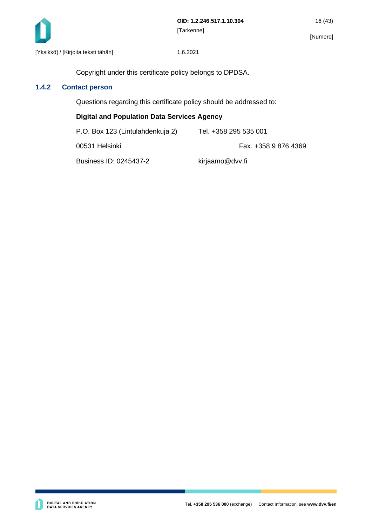

Copyright under this certificate policy belongs to DPDSA.

## <span id="page-16-0"></span>**1.4.2 Contact person**

Questions regarding this certificate policy should be addressed to:

#### **Digital and Population Data Services Agency**

| P.O. Box 123 (Lintulahdenkuja 2) | Tel. +358 295 535 001 |
|----------------------------------|-----------------------|
| 00531 Helsinki                   | Fax. +358 9 876 4369  |
| Business ID: 0245437-2           | kirjaamo@dvv.fi       |

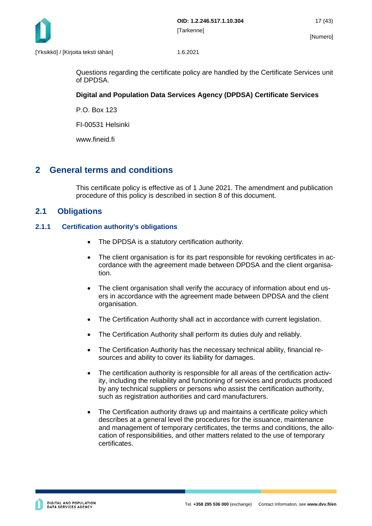

Questions regarding the certificate policy are handled by the Certificate Services unit of DPDSA.

## **Digital and Population Data Services Agency (DPDSA) Certificate Services**

P.O. Box 123

FI-00531 Helsinki

www.fineid.fi

## <span id="page-17-0"></span>**2 General terms and conditions**

This certificate policy is effective as of 1 June 2021. The amendment and publication procedure of this policy is described in section 8 of this document.

## <span id="page-17-1"></span>**2.1 Obligations**

#### <span id="page-17-2"></span>**2.1.1 Certification authority's obligations**

- The DPDSA is a statutory certification authority.
- The client organisation is for its part responsible for revoking certificates in accordance with the agreement made between DPDSA and the client organisation.
- The client organisation shall verify the accuracy of information about end users in accordance with the agreement made between DPDSA and the client organisation.
- The Certification Authority shall act in accordance with current legislation.
- The Certification Authority shall perform its duties duly and reliably.
- The Certification Authority has the necessary technical ability, financial resources and ability to cover its liability for damages.
- The certification authority is responsible for all areas of the certification activity, including the reliability and functioning of services and products produced by any technical suppliers or persons who assist the certification authority, such as registration authorities and card manufacturers.
- The Certification authority draws up and maintains a certificate policy which describes at a general level the procedures for the issuance, maintenance and management of temporary certificates, the terms and conditions, the allocation of responsibilities, and other matters related to the use of temporary certificates.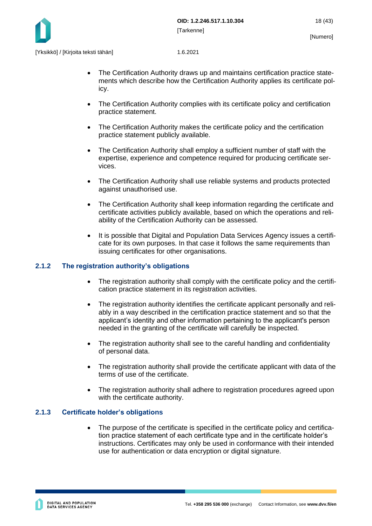

- The Certification Authority draws up and maintains certification practice statements which describe how the Certification Authority applies its certificate policy.
- The Certification Authority complies with its certificate policy and certification practice statement.
- The Certification Authority makes the certificate policy and the certification practice statement publicly available.
- The Certification Authority shall employ a sufficient number of staff with the expertise, experience and competence required for producing certificate services.
- The Certification Authority shall use reliable systems and products protected against unauthorised use.
- The Certification Authority shall keep information regarding the certificate and certificate activities publicly available, based on which the operations and reliability of the Certification Authority can be assessed.
- It is possible that Digital and Population Data Services Agency issues a certificate for its own purposes. In that case it follows the same requirements than issuing certificates for other organisations.

#### <span id="page-18-0"></span>**2.1.2 The registration authority's obligations**

- The registration authority shall comply with the certificate policy and the certification practice statement in its registration activities.
- The registration authority identifies the certificate applicant personally and reliably in a way described in the certification practice statement and so that the applicant's identity and other information pertaining to the applicant's person needed in the granting of the certificate will carefully be inspected.
- The registration authority shall see to the careful handling and confidentiality of personal data.
- The registration authority shall provide the certificate applicant with data of the terms of use of the certificate.
- The registration authority shall adhere to registration procedures agreed upon with the certificate authority.

#### <span id="page-18-1"></span>**2.1.3 Certificate holder's obligations**

The purpose of the certificate is specified in the certificate policy and certification practice statement of each certificate type and in the certificate holder's instructions. Certificates may only be used in conformance with their intended use for authentication or data encryption or digital signature.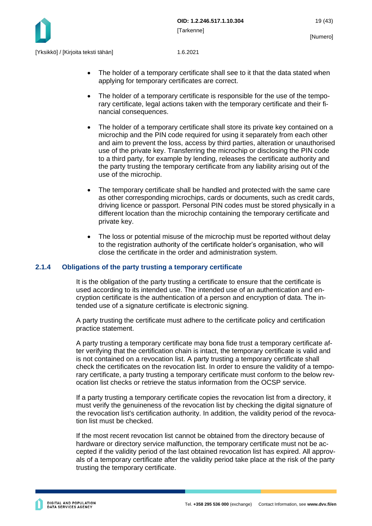

- The holder of a temporary certificate shall see to it that the data stated when applying for temporary certificates are correct.
- The holder of a temporary certificate is responsible for the use of the temporary certificate, legal actions taken with the temporary certificate and their financial consequences.
- The holder of a temporary certificate shall store its private key contained on a microchip and the PIN code required for using it separately from each other and aim to prevent the loss, access by third parties, alteration or unauthorised use of the private key. Transferring the microchip or disclosing the PIN code to a third party, for example by lending, releases the certificate authority and the party trusting the temporary certificate from any liability arising out of the use of the microchip.
- The temporary certificate shall be handled and protected with the same care as other corresponding microchips, cards or documents, such as credit cards, driving licence or passport. Personal PIN codes must be stored physically in a different location than the microchip containing the temporary certificate and private key.
- The loss or potential misuse of the microchip must be reported without delay to the registration authority of the certificate holder's organisation, who will close the certificate in the order and administration system.

#### <span id="page-19-0"></span>**2.1.4 Obligations of the party trusting a temporary certificate**

It is the obligation of the party trusting a certificate to ensure that the certificate is used according to its intended use. The intended use of an authentication and encryption certificate is the authentication of a person and encryption of data. The intended use of a signature certificate is electronic signing.

A party trusting the certificate must adhere to the certificate policy and certification practice statement.

A party trusting a temporary certificate may bona fide trust a temporary certificate after verifying that the certification chain is intact, the temporary certificate is valid and is not contained on a revocation list. A party trusting a temporary certificate shall check the certificates on the revocation list. In order to ensure the validity of a temporary certificate, a party trusting a temporary certificate must conform to the below revocation list checks or retrieve the status information from the OCSP service.

If a party trusting a temporary certificate copies the revocation list from a directory, it must verify the genuineness of the revocation list by checking the digital signature of the revocation list's certification authority. In addition, the validity period of the revocation list must be checked.

If the most recent revocation list cannot be obtained from the directory because of hardware or directory service malfunction, the temporary certificate must not be accepted if the validity period of the last obtained revocation list has expired. All approvals of a temporary certificate after the validity period take place at the risk of the party trusting the temporary certificate.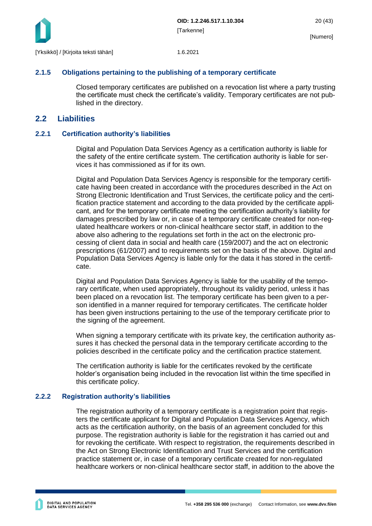

#### <span id="page-20-0"></span>**2.1.5 Obligations pertaining to the publishing of a temporary certificate**

Closed temporary certificates are published on a revocation list where a party trusting the certificate must check the certificate's validity. Temporary certificates are not published in the directory.

## <span id="page-20-1"></span>**2.2 Liabilities**

#### <span id="page-20-2"></span>**2.2.1 Certification authority's liabilities**

Digital and Population Data Services Agency as a certification authority is liable for the safety of the entire certificate system. The certification authority is liable for services it has commissioned as if for its own.

Digital and Population Data Services Agency is responsible for the temporary certificate having been created in accordance with the procedures described in the Act on Strong Electronic Identification and Trust Services, the certificate policy and the certification practice statement and according to the data provided by the certificate applicant, and for the temporary certificate meeting the certification authority's liability for damages prescribed by law or, in case of a temporary certificate created for non-regulated healthcare workers or non-clinical healthcare sector staff, in addition to the above also adhering to the regulations set forth in the act on the electronic processing of client data in social and health care (159/2007) and the act on electronic prescriptions (61/2007) and to requirements set on the basis of the above. Digital and Population Data Services Agency is liable only for the data it has stored in the certificate.

Digital and Population Data Services Agency is liable for the usability of the temporary certificate, when used appropriately, throughout its validity period, unless it has been placed on a revocation list. The temporary certificate has been given to a person identified in a manner required for temporary certificates. The certificate holder has been given instructions pertaining to the use of the temporary certificate prior to the signing of the agreement.

When signing a temporary certificate with its private key, the certification authority assures it has checked the personal data in the temporary certificate according to the policies described in the certificate policy and the certification practice statement.

The certification authority is liable for the certificates revoked by the certificate holder's organisation being included in the revocation list within the time specified in this certificate policy.

#### <span id="page-20-3"></span>**2.2.2 Registration authority's liabilities**

The registration authority of a temporary certificate is a registration point that registers the certificate applicant for Digital and Population Data Services Agency, which acts as the certification authority, on the basis of an agreement concluded for this purpose. The registration authority is liable for the registration it has carried out and for revoking the certificate. With respect to registration, the requirements described in the Act on Strong Electronic Identification and Trust Services and the certification practice statement or, in case of a temporary certificate created for non-regulated healthcare workers or non-clinical healthcare sector staff, in addition to the above the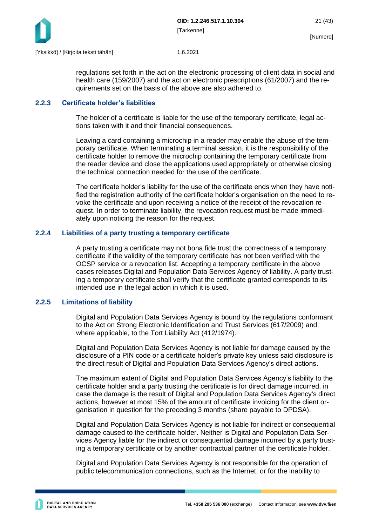

regulations set forth in the act on the electronic processing of client data in social and health care (159/2007) and the act on electronic prescriptions (61/2007) and the requirements set on the basis of the above are also adhered to.

#### <span id="page-21-0"></span>**2.2.3 Certificate holder's liabilities**

The holder of a certificate is liable for the use of the temporary certificate, legal actions taken with it and their financial consequences.

Leaving a card containing a microchip in a reader may enable the abuse of the temporary certificate. When terminating a terminal session, it is the responsibility of the certificate holder to remove the microchip containing the temporary certificate from the reader device and close the applications used appropriately or otherwise closing the technical connection needed for the use of the certificate.

The certificate holder's liability for the use of the certificate ends when they have notified the registration authority of the certificate holder's organisation on the need to revoke the certificate and upon receiving a notice of the receipt of the revocation request. In order to terminate liability, the revocation request must be made immediately upon noticing the reason for the request.

#### <span id="page-21-1"></span>**2.2.4 Liabilities of a party trusting a temporary certificate**

A party trusting a certificate may not bona fide trust the correctness of a temporary certificate if the validity of the temporary certificate has not been verified with the OCSP service or a revocation list. Accepting a temporary certificate in the above cases releases Digital and Population Data Services Agency of liability. A party trusting a temporary certificate shall verify that the certificate granted corresponds to its intended use in the legal action in which it is used.

#### <span id="page-21-2"></span>**2.2.5 Limitations of liability**

Digital and Population Data Services Agency is bound by the regulations conformant to the Act on Strong Electronic Identification and Trust Services (617/2009) and, where applicable, to the Tort Liability Act (412/1974).

Digital and Population Data Services Agency is not liable for damage caused by the disclosure of a PIN code or a certificate holder's private key unless said disclosure is the direct result of Digital and Population Data Services Agency's direct actions.

The maximum extent of Digital and Population Data Services Agency's liability to the certificate holder and a party trusting the certificate is for direct damage incurred, in case the damage is the result of Digital and Population Data Services Agency's direct actions, however at most 15% of the amount of certificate invoicing for the client organisation in question for the preceding 3 months (share payable to DPDSA).

Digital and Population Data Services Agency is not liable for indirect or consequential damage caused to the certificate holder. Neither is Digital and Population Data Services Agency liable for the indirect or consequential damage incurred by a party trusting a temporary certificate or by another contractual partner of the certificate holder.

Digital and Population Data Services Agency is not responsible for the operation of public telecommunication connections, such as the Internet, or for the inability to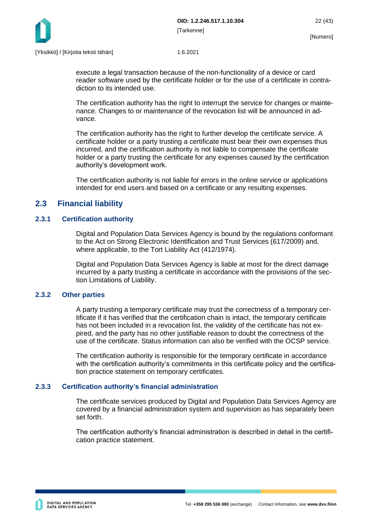

execute a legal transaction because of the non-functionality of a device or card reader software used by the certificate holder or for the use of a certificate in contradiction to its intended use.

The certification authority has the right to interrupt the service for changes or maintenance. Changes to or maintenance of the revocation list will be announced in advance.

The certification authority has the right to further develop the certificate service. A certificate holder or a party trusting a certificate must bear their own expenses thus incurred, and the certification authority is not liable to compensate the certificate holder or a party trusting the certificate for any expenses caused by the certification authority's development work.

The certification authority is not liable for errors in the online service or applications intended for end users and based on a certificate or any resulting expenses.

## <span id="page-22-0"></span>**2.3 Financial liability**

#### <span id="page-22-1"></span>**2.3.1 Certification authority**

Digital and Population Data Services Agency is bound by the regulations conformant to the Act on Strong Electronic Identification and Trust Services (617/2009) and, where applicable, to the Tort Liability Act (412/1974).

Digital and Population Data Services Agency is liable at most for the direct damage incurred by a party trusting a certificate in accordance with the provisions of the section Limitations of Liability.

#### <span id="page-22-2"></span>**2.3.2 Other parties**

A party trusting a temporary certificate may trust the correctness of a temporary certificate if it has verified that the certification chain is intact, the temporary certificate has not been included in a revocation list, the validity of the certificate has not expired, and the party has no other justifiable reason to doubt the correctness of the use of the certificate. Status information can also be verified with the OCSP service.

The certification authority is responsible for the temporary certificate in accordance with the certification authority's commitments in this certificate policy and the certification practice statement on temporary certificates.

#### <span id="page-22-3"></span>**2.3.3 Certification authority's financial administration**

The certificate services produced by Digital and Population Data Services Agency are covered by a financial administration system and supervision as has separately been set forth.

The certification authority's financial administration is described in detail in the certification practice statement.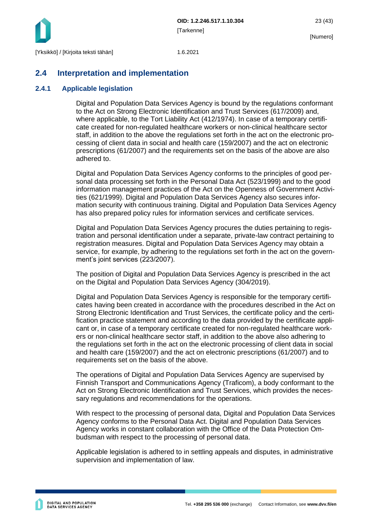

## <span id="page-23-0"></span>**2.4 Interpretation and implementation**

#### <span id="page-23-1"></span>**2.4.1 Applicable legislation**

Digital and Population Data Services Agency is bound by the regulations conformant to the Act on Strong Electronic Identification and Trust Services (617/2009) and, where applicable, to the Tort Liability Act (412/1974). In case of a temporary certificate created for non-regulated healthcare workers or non-clinical healthcare sector staff, in addition to the above the regulations set forth in the act on the electronic processing of client data in social and health care (159/2007) and the act on electronic prescriptions (61/2007) and the requirements set on the basis of the above are also adhered to.

Digital and Population Data Services Agency conforms to the principles of good personal data processing set forth in the Personal Data Act (523/1999) and to the good information management practices of the Act on the Openness of Government Activities (621/1999). Digital and Population Data Services Agency also secures information security with continuous training. Digital and Population Data Services Agency has also prepared policy rules for information services and certificate services.

Digital and Population Data Services Agency procures the duties pertaining to registration and personal identification under a separate, private-law contract pertaining to registration measures. Digital and Population Data Services Agency may obtain a service, for example, by adhering to the regulations set forth in the act on the government's joint services (223/2007).

The position of Digital and Population Data Services Agency is prescribed in the act on the Digital and Population Data Services Agency (304/2019).

Digital and Population Data Services Agency is responsible for the temporary certificates having been created in accordance with the procedures described in the Act on Strong Electronic Identification and Trust Services, the certificate policy and the certification practice statement and according to the data provided by the certificate applicant or, in case of a temporary certificate created for non-regulated healthcare workers or non-clinical healthcare sector staff, in addition to the above also adhering to the regulations set forth in the act on the electronic processing of client data in social and health care (159/2007) and the act on electronic prescriptions (61/2007) and to requirements set on the basis of the above.

The operations of Digital and Population Data Services Agency are supervised by Finnish Transport and Communications Agency (Traficom), a body conformant to the Act on Strong Electronic Identification and Trust Services, which provides the necessary regulations and recommendations for the operations.

With respect to the processing of personal data, Digital and Population Data Services Agency conforms to the Personal Data Act. Digital and Population Data Services Agency works in constant collaboration with the Office of the Data Protection Ombudsman with respect to the processing of personal data.

Applicable legislation is adhered to in settling appeals and disputes, in administrative supervision and implementation of law.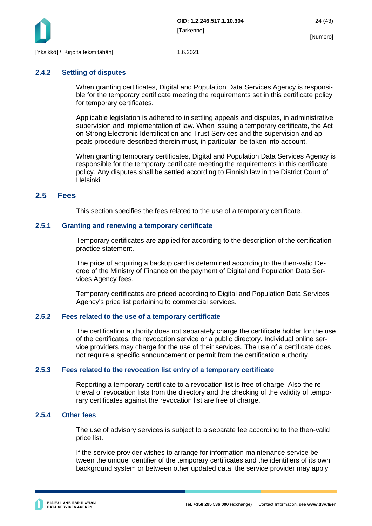

#### <span id="page-24-0"></span>**2.4.2 Settling of disputes**

When granting certificates, Digital and Population Data Services Agency is responsible for the temporary certificate meeting the requirements set in this certificate policy for temporary certificates.

Applicable legislation is adhered to in settling appeals and disputes, in administrative supervision and implementation of law. When issuing a temporary certificate, the Act on Strong Electronic Identification and Trust Services and the supervision and appeals procedure described therein must, in particular, be taken into account.

When granting temporary certificates, Digital and Population Data Services Agency is responsible for the temporary certificate meeting the requirements in this certificate policy. Any disputes shall be settled according to Finnish law in the District Court of Helsinki.

## <span id="page-24-1"></span>**2.5 Fees**

This section specifies the fees related to the use of a temporary certificate.

#### <span id="page-24-2"></span>**2.5.1 Granting and renewing a temporary certificate**

Temporary certificates are applied for according to the description of the certification practice statement.

The price of acquiring a backup card is determined according to the then-valid Decree of the Ministry of Finance on the payment of Digital and Population Data Services Agency fees.

Temporary certificates are priced according to Digital and Population Data Services Agency's price list pertaining to commercial services.

#### <span id="page-24-3"></span>**2.5.2 Fees related to the use of a temporary certificate**

The certification authority does not separately charge the certificate holder for the use of the certificates, the revocation service or a public directory. Individual online service providers may charge for the use of their services. The use of a certificate does not require a specific announcement or permit from the certification authority.

#### <span id="page-24-4"></span>**2.5.3 Fees related to the revocation list entry of a temporary certificate**

Reporting a temporary certificate to a revocation list is free of charge. Also the retrieval of revocation lists from the directory and the checking of the validity of temporary certificates against the revocation list are free of charge.

#### <span id="page-24-5"></span>**2.5.4 Other fees**

The use of advisory services is subject to a separate fee according to the then-valid price list.

If the service provider wishes to arrange for information maintenance service between the unique identifier of the temporary certificates and the identifiers of its own background system or between other updated data, the service provider may apply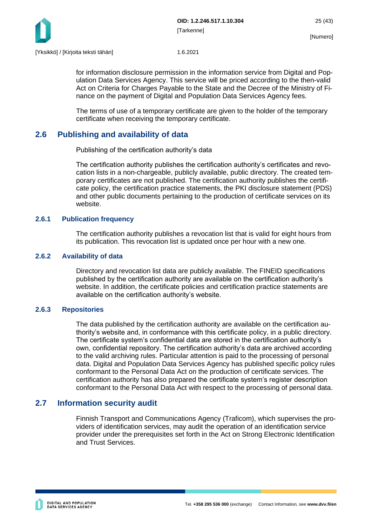

for information disclosure permission in the information service from Digital and Population Data Services Agency. This service will be priced according to the then-valid Act on Criteria for Charges Payable to the State and the Decree of the Ministry of Finance on the payment of Digital and Population Data Services Agency fees.

The terms of use of a temporary certificate are given to the holder of the temporary certificate when receiving the temporary certificate.

## <span id="page-25-0"></span>**2.6 Publishing and availability of data**

Publishing of the certification authority's data

The certification authority publishes the certification authority's certificates and revocation lists in a non-chargeable, publicly available, public directory. The created temporary certificates are not published. The certification authority publishes the certificate policy, the certification practice statements, the PKI disclosure statement (PDS) and other public documents pertaining to the production of certificate services on its website.

#### <span id="page-25-1"></span>**2.6.1 Publication frequency**

The certification authority publishes a revocation list that is valid for eight hours from its publication. This revocation list is updated once per hour with a new one.

#### <span id="page-25-2"></span>**2.6.2 Availability of data**

Directory and revocation list data are publicly available. The FINEID specifications published by the certification authority are available on the certification authority's website. In addition, the certificate policies and certification practice statements are available on the certification authority's website.

#### <span id="page-25-3"></span>**2.6.3 Repositories**

The data published by the certification authority are available on the certification authority's website and, in conformance with this certificate policy, in a public directory. The certificate system's confidential data are stored in the certification authority's own, confidential repository. The certification authority's data are archived according to the valid archiving rules. Particular attention is paid to the processing of personal data. Digital and Population Data Services Agency has published specific policy rules conformant to the Personal Data Act on the production of certificate services. The certification authority has also prepared the certificate system's register description conformant to the Personal Data Act with respect to the processing of personal data.

## <span id="page-25-4"></span>**2.7 Information security audit**

Finnish Transport and Communications Agency (Traficom), which supervises the providers of identification services, may audit the operation of an identification service provider under the prerequisites set forth in the Act on Strong Electronic Identification and Trust Services.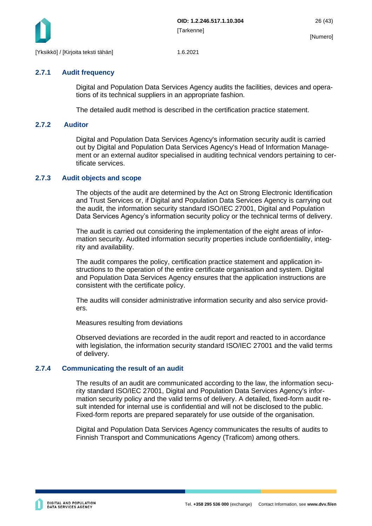

#### <span id="page-26-0"></span>**2.7.1 Audit frequency**

Digital and Population Data Services Agency audits the facilities, devices and operations of its technical suppliers in an appropriate fashion.

<span id="page-26-1"></span>The detailed audit method is described in the certification practice statement.

#### **2.7.2 Auditor**

Digital and Population Data Services Agency's information security audit is carried out by Digital and Population Data Services Agency's Head of Information Management or an external auditor specialised in auditing technical vendors pertaining to certificate services.

#### <span id="page-26-2"></span>**2.7.3 Audit objects and scope**

The objects of the audit are determined by the Act on Strong Electronic Identification and Trust Services or, if Digital and Population Data Services Agency is carrying out the audit, the information security standard ISO/IEC 27001, Digital and Population Data Services Agency's information security policy or the technical terms of delivery.

The audit is carried out considering the implementation of the eight areas of information security. Audited information security properties include confidentiality, integrity and availability.

The audit compares the policy, certification practice statement and application instructions to the operation of the entire certificate organisation and system. Digital and Population Data Services Agency ensures that the application instructions are consistent with the certificate policy.

The audits will consider administrative information security and also service providers.

Measures resulting from deviations

Observed deviations are recorded in the audit report and reacted to in accordance with legislation, the information security standard ISO/IEC 27001 and the valid terms of delivery.

#### <span id="page-26-3"></span>**2.7.4 Communicating the result of an audit**

The results of an audit are communicated according to the law, the information security standard ISO/IEC 27001, Digital and Population Data Services Agency's information security policy and the valid terms of delivery. A detailed, fixed-form audit result intended for internal use is confidential and will not be disclosed to the public. Fixed-form reports are prepared separately for use outside of the organisation.

Digital and Population Data Services Agency communicates the results of audits to Finnish Transport and Communications Agency (Traficom) among others.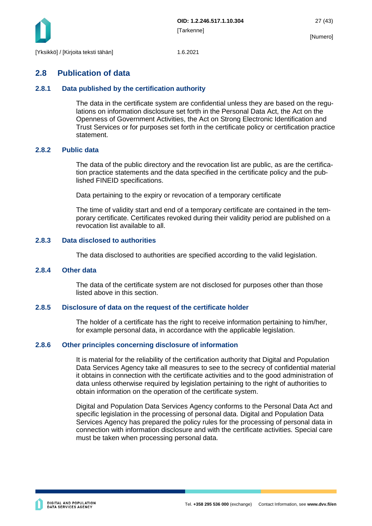

## <span id="page-27-0"></span>**2.8 Publication of data**

#### <span id="page-27-1"></span>**2.8.1 Data published by the certification authority**

The data in the certificate system are confidential unless they are based on the regulations on information disclosure set forth in the Personal Data Act, the Act on the Openness of Government Activities, the Act on Strong Electronic Identification and Trust Services or for purposes set forth in the certificate policy or certification practice statement.

#### <span id="page-27-2"></span>**2.8.2 Public data**

The data of the public directory and the revocation list are public, as are the certification practice statements and the data specified in the certificate policy and the published FINEID specifications.

Data pertaining to the expiry or revocation of a temporary certificate

The time of validity start and end of a temporary certificate are contained in the temporary certificate. Certificates revoked during their validity period are published on a revocation list available to all.

#### <span id="page-27-3"></span>**2.8.3 Data disclosed to authorities**

The data disclosed to authorities are specified according to the valid legislation.

#### <span id="page-27-4"></span>**2.8.4 Other data**

The data of the certificate system are not disclosed for purposes other than those listed above in this section.

#### <span id="page-27-5"></span>**2.8.5 Disclosure of data on the request of the certificate holder**

The holder of a certificate has the right to receive information pertaining to him/her, for example personal data, in accordance with the applicable legislation.

#### <span id="page-27-6"></span>**2.8.6 Other principles concerning disclosure of information**

It is material for the reliability of the certification authority that Digital and Population Data Services Agency take all measures to see to the secrecy of confidential material it obtains in connection with the certificate activities and to the good administration of data unless otherwise required by legislation pertaining to the right of authorities to obtain information on the operation of the certificate system.

Digital and Population Data Services Agency conforms to the Personal Data Act and specific legislation in the processing of personal data. Digital and Population Data Services Agency has prepared the policy rules for the processing of personal data in connection with information disclosure and with the certificate activities. Special care must be taken when processing personal data.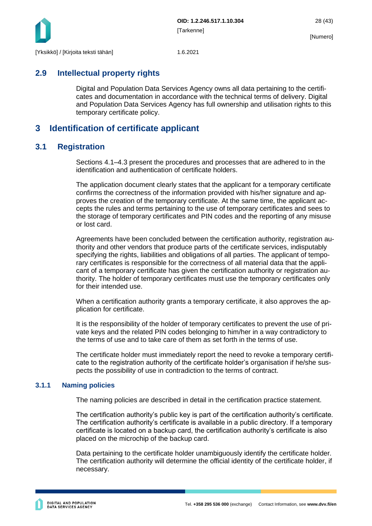

## <span id="page-28-0"></span>**2.9 Intellectual property rights**

Digital and Population Data Services Agency owns all data pertaining to the certificates and documentation in accordance with the technical terms of delivery. Digital and Population Data Services Agency has full ownership and utilisation rights to this temporary certificate policy.

## <span id="page-28-1"></span>**3 Identification of certificate applicant**

## <span id="page-28-2"></span>**3.1 Registration**

Sections 4.1–4.3 present the procedures and processes that are adhered to in the identification and authentication of certificate holders.

The application document clearly states that the applicant for a temporary certificate confirms the correctness of the information provided with his/her signature and approves the creation of the temporary certificate. At the same time, the applicant accepts the rules and terms pertaining to the use of temporary certificates and sees to the storage of temporary certificates and PIN codes and the reporting of any misuse or lost card.

Agreements have been concluded between the certification authority, registration authority and other vendors that produce parts of the certificate services, indisputably specifying the rights, liabilities and obligations of all parties. The applicant of temporary certificates is responsible for the correctness of all material data that the applicant of a temporary certificate has given the certification authority or registration authority. The holder of temporary certificates must use the temporary certificates only for their intended use.

When a certification authority grants a temporary certificate, it also approves the application for certificate.

It is the responsibility of the holder of temporary certificates to prevent the use of private keys and the related PIN codes belonging to him/her in a way contradictory to the terms of use and to take care of them as set forth in the terms of use.

The certificate holder must immediately report the need to revoke a temporary certificate to the registration authority of the certificate holder's organisation if he/she suspects the possibility of use in contradiction to the terms of contract.

#### <span id="page-28-3"></span>**3.1.1 Naming policies**

The naming policies are described in detail in the certification practice statement.

The certification authority's public key is part of the certification authority's certificate. The certification authority's certificate is available in a public directory. If a temporary certificate is located on a backup card, the certification authority's certificate is also placed on the microchip of the backup card.

Data pertaining to the certificate holder unambiguously identify the certificate holder. The certification authority will determine the official identity of the certificate holder, if necessary.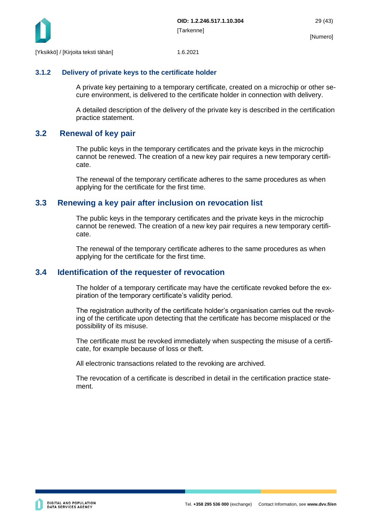

#### <span id="page-29-0"></span>**3.1.2 Delivery of private keys to the certificate holder**

A private key pertaining to a temporary certificate, created on a microchip or other secure environment, is delivered to the certificate holder in connection with delivery.

A detailed description of the delivery of the private key is described in the certification practice statement.

## <span id="page-29-1"></span>**3.2 Renewal of key pair**

The public keys in the temporary certificates and the private keys in the microchip cannot be renewed. The creation of a new key pair requires a new temporary certificate.

The renewal of the temporary certificate adheres to the same procedures as when applying for the certificate for the first time.

## <span id="page-29-2"></span>**3.3 Renewing a key pair after inclusion on revocation list**

The public keys in the temporary certificates and the private keys in the microchip cannot be renewed. The creation of a new key pair requires a new temporary certificate.

The renewal of the temporary certificate adheres to the same procedures as when applying for the certificate for the first time.

## <span id="page-29-3"></span>**3.4 Identification of the requester of revocation**

The holder of a temporary certificate may have the certificate revoked before the expiration of the temporary certificate's validity period.

The registration authority of the certificate holder's organisation carries out the revoking of the certificate upon detecting that the certificate has become misplaced or the possibility of its misuse.

The certificate must be revoked immediately when suspecting the misuse of a certificate, for example because of loss or theft.

All electronic transactions related to the revoking are archived.

The revocation of a certificate is described in detail in the certification practice statement.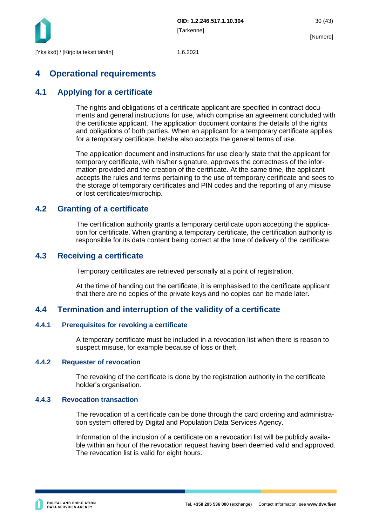

## <span id="page-30-0"></span>**4 Operational requirements**

## <span id="page-30-1"></span>**4.1 Applying for a certificate**

The rights and obligations of a certificate applicant are specified in contract documents and general instructions for use, which comprise an agreement concluded with the certificate applicant. The application document contains the details of the rights and obligations of both parties. When an applicant for a temporary certificate applies for a temporary certificate, he/she also accepts the general terms of use.

The application document and instructions for use clearly state that the applicant for temporary certificate, with his/her signature, approves the correctness of the information provided and the creation of the certificate. At the same time, the applicant accepts the rules and terms pertaining to the use of temporary certificate and sees to the storage of temporary certificates and PIN codes and the reporting of any misuse or lost certificates/microchip.

## <span id="page-30-2"></span>**4.2 Granting of a certificate**

The certification authority grants a temporary certificate upon accepting the application for certificate. When granting a temporary certificate, the certification authority is responsible for its data content being correct at the time of delivery of the certificate.

## <span id="page-30-3"></span>**4.3 Receiving a certificate**

Temporary certificates are retrieved personally at a point of registration.

At the time of handing out the certificate, it is emphasised to the certificate applicant that there are no copies of the private keys and no copies can be made later.

## <span id="page-30-4"></span>**4.4 Termination and interruption of the validity of a certificate**

#### <span id="page-30-5"></span>**4.4.1 Prerequisites for revoking a certificate**

A temporary certificate must be included in a revocation list when there is reason to suspect misuse, for example because of loss or theft.

#### <span id="page-30-6"></span>**4.4.2 Requester of revocation**

The revoking of the certificate is done by the registration authority in the certificate holder's organisation.

#### <span id="page-30-7"></span>**4.4.3 Revocation transaction**

The revocation of a certificate can be done through the card ordering and administration system offered by Digital and Population Data Services Agency.

Information of the inclusion of a certificate on a revocation list will be publicly available within an hour of the revocation request having been deemed valid and approved. The revocation list is valid for eight hours.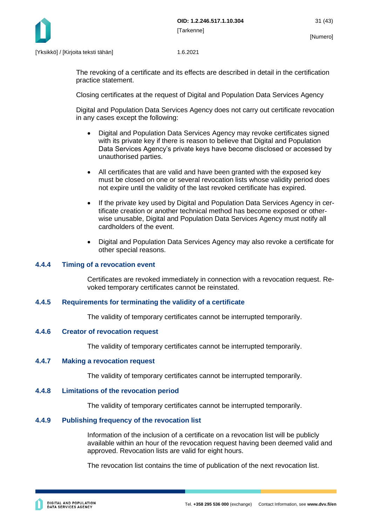

The revoking of a certificate and its effects are described in detail in the certification practice statement.

Closing certificates at the request of Digital and Population Data Services Agency

Digital and Population Data Services Agency does not carry out certificate revocation in any cases except the following:

- Digital and Population Data Services Agency may revoke certificates signed with its private key if there is reason to believe that Digital and Population Data Services Agency's private keys have become disclosed or accessed by unauthorised parties.
- All certificates that are valid and have been granted with the exposed key must be closed on one or several revocation lists whose validity period does not expire until the validity of the last revoked certificate has expired.
- If the private key used by Digital and Population Data Services Agency in certificate creation or another technical method has become exposed or otherwise unusable, Digital and Population Data Services Agency must notify all cardholders of the event.
- Digital and Population Data Services Agency may also revoke a certificate for other special reasons.

#### <span id="page-31-0"></span>**4.4.4 Timing of a revocation event**

Certificates are revoked immediately in connection with a revocation request. Revoked temporary certificates cannot be reinstated.

#### <span id="page-31-1"></span>**4.4.5 Requirements for terminating the validity of a certificate**

The validity of temporary certificates cannot be interrupted temporarily.

#### <span id="page-31-2"></span>**4.4.6 Creator of revocation request**

The validity of temporary certificates cannot be interrupted temporarily.

#### <span id="page-31-3"></span>**4.4.7 Making a revocation request**

The validity of temporary certificates cannot be interrupted temporarily.

#### <span id="page-31-4"></span>**4.4.8 Limitations of the revocation period**

The validity of temporary certificates cannot be interrupted temporarily.

#### <span id="page-31-5"></span>**4.4.9 Publishing frequency of the revocation list**

Information of the inclusion of a certificate on a revocation list will be publicly available within an hour of the revocation request having been deemed valid and approved. Revocation lists are valid for eight hours.

The revocation list contains the time of publication of the next revocation list.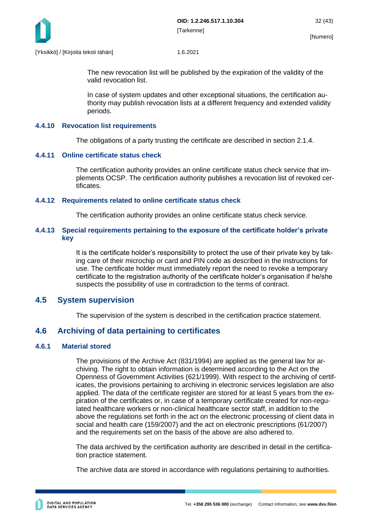

The new revocation list will be published by the expiration of the validity of the valid revocation list.

In case of system updates and other exceptional situations, the certification authority may publish revocation lists at a different frequency and extended validity periods.

#### <span id="page-32-0"></span>**4.4.10 Revocation list requirements**

The obligations of a party trusting the certificate are described in section 2.1.4.

#### <span id="page-32-1"></span>**4.4.11 Online certificate status check**

The certification authority provides an online certificate status check service that implements OCSP. The certification authority publishes a revocation list of revoked certificates.

#### <span id="page-32-2"></span>**4.4.12 Requirements related to online certificate status check**

The certification authority provides an online certificate status check service.

#### <span id="page-32-3"></span>**4.4.13 Special requirements pertaining to the exposure of the certificate holder's private key**

It is the certificate holder's responsibility to protect the use of their private key by taking care of their microchip or card and PIN code as described in the instructions for use. The certificate holder must immediately report the need to revoke a temporary certificate to the registration authority of the certificate holder's organisation if he/she suspects the possibility of use in contradiction to the terms of contract.

## <span id="page-32-4"></span>**4.5 System supervision**

The supervision of the system is described in the certification practice statement.

## <span id="page-32-5"></span>**4.6 Archiving of data pertaining to certificates**

#### <span id="page-32-6"></span>**4.6.1 Material stored**

The provisions of the Archive Act (831/1994) are applied as the general law for archiving. The right to obtain information is determined according to the Act on the Openness of Government Activities (621/1999). With respect to the archiving of certificates, the provisions pertaining to archiving in electronic services legislation are also applied. The data of the certificate register are stored for at least 5 years from the expiration of the certificates or, in case of a temporary certificate created for non-regulated healthcare workers or non-clinical healthcare sector staff, in addition to the above the regulations set forth in the act on the electronic processing of client data in social and health care (159/2007) and the act on electronic prescriptions (61/2007) and the requirements set on the basis of the above are also adhered to.

The data archived by the certification authority are described in detail in the certification practice statement.

The archive data are stored in accordance with regulations pertaining to authorities.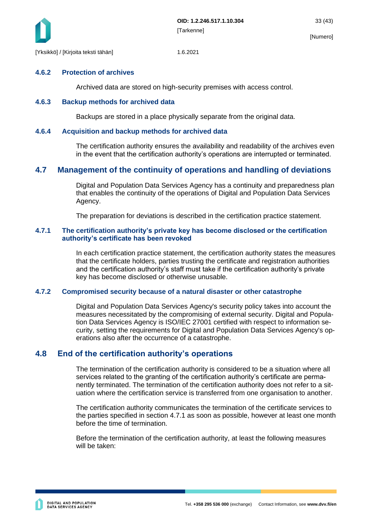

#### <span id="page-33-0"></span>**4.6.2 Protection of archives**

Archived data are stored on high-security premises with access control.

#### <span id="page-33-1"></span>**4.6.3 Backup methods for archived data**

Backups are stored in a place physically separate from the original data.

#### <span id="page-33-2"></span>**4.6.4 Acquisition and backup methods for archived data**

The certification authority ensures the availability and readability of the archives even in the event that the certification authority's operations are interrupted or terminated.

## <span id="page-33-3"></span>**4.7 Management of the continuity of operations and handling of deviations**

Digital and Population Data Services Agency has a continuity and preparedness plan that enables the continuity of the operations of Digital and Population Data Services Agency.

The preparation for deviations is described in the certification practice statement.

#### <span id="page-33-4"></span>**4.7.1 The certification authority's private key has become disclosed or the certification authority's certificate has been revoked**

In each certification practice statement, the certification authority states the measures that the certificate holders, parties trusting the certificate and registration authorities and the certification authority's staff must take if the certification authority's private key has become disclosed or otherwise unusable.

#### <span id="page-33-5"></span>**4.7.2 Compromised security because of a natural disaster or other catastrophe**

Digital and Population Data Services Agency's security policy takes into account the measures necessitated by the compromising of external security. Digital and Population Data Services Agency is ISO/IEC 27001 certified with respect to information security, setting the requirements for Digital and Population Data Services Agency's operations also after the occurrence of a catastrophe.

## <span id="page-33-6"></span>**4.8 End of the certification authority's operations**

The termination of the certification authority is considered to be a situation where all services related to the granting of the certification authority's certificate are permanently terminated. The termination of the certification authority does not refer to a situation where the certification service is transferred from one organisation to another.

The certification authority communicates the termination of the certificate services to the parties specified in section 4.7.1 as soon as possible, however at least one month before the time of termination.

Before the termination of the certification authority, at least the following measures will be taken: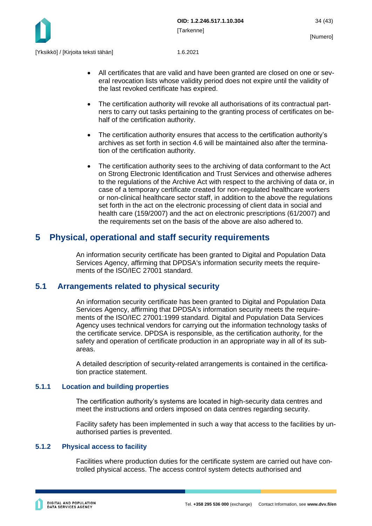

- All certificates that are valid and have been granted are closed on one or several revocation lists whose validity period does not expire until the validity of the last revoked certificate has expired.
- The certification authority will revoke all authorisations of its contractual partners to carry out tasks pertaining to the granting process of certificates on behalf of the certification authority.
- The certification authority ensures that access to the certification authority's archives as set forth in section 4.6 will be maintained also after the termination of the certification authority.
- The certification authority sees to the archiving of data conformant to the Act on Strong Electronic Identification and Trust Services and otherwise adheres to the regulations of the Archive Act with respect to the archiving of data or, in case of a temporary certificate created for non-regulated healthcare workers or non-clinical healthcare sector staff, in addition to the above the regulations set forth in the act on the electronic processing of client data in social and health care (159/2007) and the act on electronic prescriptions (61/2007) and the requirements set on the basis of the above are also adhered to.

## <span id="page-34-0"></span>**5 Physical, operational and staff security requirements**

An information security certificate has been granted to Digital and Population Data Services Agency, affirming that DPDSA's information security meets the requirements of the ISO/IEC 27001 standard.

## <span id="page-34-1"></span>**5.1 Arrangements related to physical security**

An information security certificate has been granted to Digital and Population Data Services Agency, affirming that DPDSA's information security meets the requirements of the ISO/IEC 27001:1999 standard. Digital and Population Data Services Agency uses technical vendors for carrying out the information technology tasks of the certificate service. DPDSA is responsible, as the certification authority, for the safety and operation of certificate production in an appropriate way in all of its subareas.

A detailed description of security-related arrangements is contained in the certification practice statement.

#### <span id="page-34-2"></span>**5.1.1 Location and building properties**

The certification authority's systems are located in high-security data centres and meet the instructions and orders imposed on data centres regarding security.

Facility safety has been implemented in such a way that access to the facilities by unauthorised parties is prevented.

#### <span id="page-34-3"></span>**5.1.2 Physical access to facility**

Facilities where production duties for the certificate system are carried out have controlled physical access. The access control system detects authorised and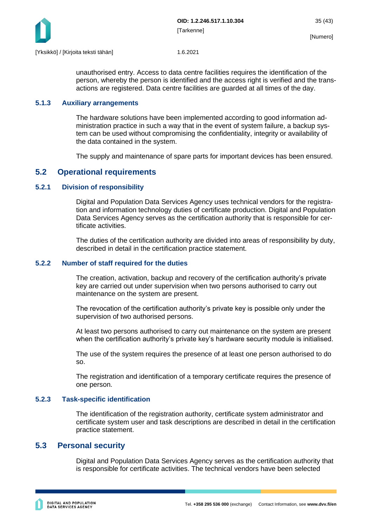

unauthorised entry. Access to data centre facilities requires the identification of the person, whereby the person is identified and the access right is verified and the transactions are registered. Data centre facilities are guarded at all times of the day.

#### <span id="page-35-0"></span>**5.1.3 Auxiliary arrangements**

The hardware solutions have been implemented according to good information administration practice in such a way that in the event of system failure, a backup system can be used without compromising the confidentiality, integrity or availability of the data contained in the system.

The supply and maintenance of spare parts for important devices has been ensured.

## <span id="page-35-1"></span>**5.2 Operational requirements**

#### <span id="page-35-2"></span>**5.2.1 Division of responsibility**

Digital and Population Data Services Agency uses technical vendors for the registration and information technology duties of certificate production. Digital and Population Data Services Agency serves as the certification authority that is responsible for certificate activities.

The duties of the certification authority are divided into areas of responsibility by duty, described in detail in the certification practice statement.

#### <span id="page-35-3"></span>**5.2.2 Number of staff required for the duties**

The creation, activation, backup and recovery of the certification authority's private key are carried out under supervision when two persons authorised to carry out maintenance on the system are present.

The revocation of the certification authority's private key is possible only under the supervision of two authorised persons.

At least two persons authorised to carry out maintenance on the system are present when the certification authority's private key's hardware security module is initialised.

The use of the system requires the presence of at least one person authorised to do so.

The registration and identification of a temporary certificate requires the presence of one person.

#### <span id="page-35-4"></span>**5.2.3 Task-specific identification**

The identification of the registration authority, certificate system administrator and certificate system user and task descriptions are described in detail in the certification practice statement.

#### <span id="page-35-5"></span>**5.3 Personal security**

Digital and Population Data Services Agency serves as the certification authority that is responsible for certificate activities. The technical vendors have been selected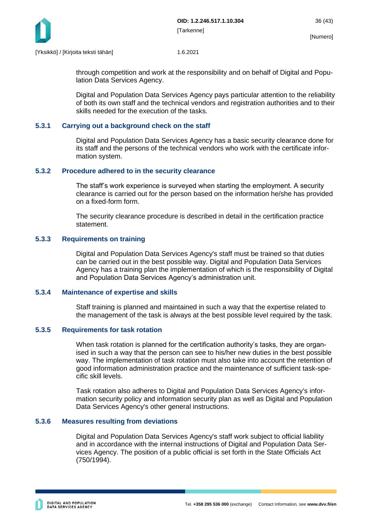

through competition and work at the responsibility and on behalf of Digital and Population Data Services Agency.

Digital and Population Data Services Agency pays particular attention to the reliability of both its own staff and the technical vendors and registration authorities and to their skills needed for the execution of the tasks.

#### <span id="page-36-0"></span>**5.3.1 Carrying out a background check on the staff**

Digital and Population Data Services Agency has a basic security clearance done for its staff and the persons of the technical vendors who work with the certificate information system.

#### <span id="page-36-1"></span>**5.3.2 Procedure adhered to in the security clearance**

The staff's work experience is surveyed when starting the employment. A security clearance is carried out for the person based on the information he/she has provided on a fixed-form form.

The security clearance procedure is described in detail in the certification practice statement.

#### <span id="page-36-2"></span>**5.3.3 Requirements on training**

Digital and Population Data Services Agency's staff must be trained so that duties can be carried out in the best possible way. Digital and Population Data Services Agency has a training plan the implementation of which is the responsibility of Digital and Population Data Services Agency's administration unit.

#### <span id="page-36-3"></span>**5.3.4 Maintenance of expertise and skills**

Staff training is planned and maintained in such a way that the expertise related to the management of the task is always at the best possible level required by the task.

#### <span id="page-36-4"></span>**5.3.5 Requirements for task rotation**

When task rotation is planned for the certification authority's tasks, they are organised in such a way that the person can see to his/her new duties in the best possible way. The implementation of task rotation must also take into account the retention of good information administration practice and the maintenance of sufficient task-specific skill levels.

Task rotation also adheres to Digital and Population Data Services Agency's information security policy and information security plan as well as Digital and Population Data Services Agency's other general instructions.

#### <span id="page-36-5"></span>**5.3.6 Measures resulting from deviations**

Digital and Population Data Services Agency's staff work subject to official liability and in accordance with the internal instructions of Digital and Population Data Services Agency. The position of a public official is set forth in the State Officials Act (750/1994).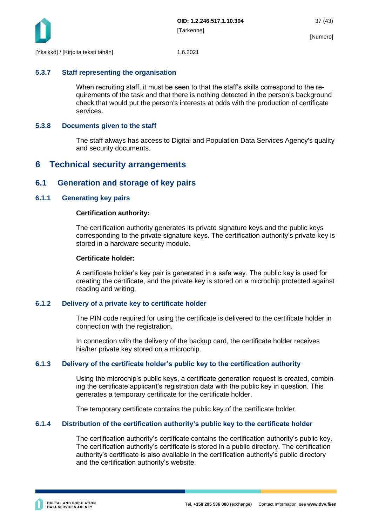

#### <span id="page-37-0"></span>**5.3.7 Staff representing the organisation**

When recruiting staff, it must be seen to that the staff's skills correspond to the requirements of the task and that there is nothing detected in the person's background check that would put the person's interests at odds with the production of certificate services.

#### <span id="page-37-1"></span>**5.3.8 Documents given to the staff**

The staff always has access to Digital and Population Data Services Agency's quality and security documents.

## <span id="page-37-2"></span>**6 Technical security arrangements**

## <span id="page-37-3"></span>**6.1 Generation and storage of key pairs**

#### <span id="page-37-4"></span>**6.1.1 Generating key pairs**

#### **Certification authority:**

The certification authority generates its private signature keys and the public keys corresponding to the private signature keys. The certification authority's private key is stored in a hardware security module.

#### **Certificate holder:**

A certificate holder's key pair is generated in a safe way. The public key is used for creating the certificate, and the private key is stored on a microchip protected against reading and writing.

#### <span id="page-37-5"></span>**6.1.2 Delivery of a private key to certificate holder**

The PIN code required for using the certificate is delivered to the certificate holder in connection with the registration.

In connection with the delivery of the backup card, the certificate holder receives his/her private key stored on a microchip.

#### <span id="page-37-6"></span>**6.1.3 Delivery of the certificate holder's public key to the certification authority**

Using the microchip's public keys, a certificate generation request is created, combining the certificate applicant's registration data with the public key in question. This generates a temporary certificate for the certificate holder.

The temporary certificate contains the public key of the certificate holder.

#### <span id="page-37-7"></span>**6.1.4 Distribution of the certification authority's public key to the certificate holder**

The certification authority's certificate contains the certification authority's public key. The certification authority's certificate is stored in a public directory. The certification authority's certificate is also available in the certification authority's public directory and the certification authority's website.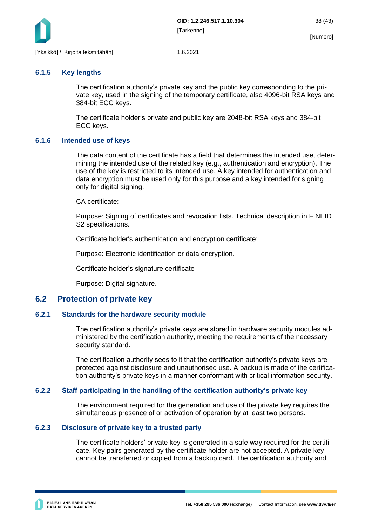

#### <span id="page-38-0"></span>**6.1.5 Key lengths**

The certification authority's private key and the public key corresponding to the private key, used in the signing of the temporary certificate, also 4096-bit RSA keys and 384-bit ECC keys.

The certificate holder's private and public key are 2048-bit RSA keys and 384-bit ECC keys.

#### <span id="page-38-1"></span>**6.1.6 Intended use of keys**

The data content of the certificate has a field that determines the intended use, determining the intended use of the related key (e.g., authentication and encryption). The use of the key is restricted to its intended use. A key intended for authentication and data encryption must be used only for this purpose and a key intended for signing only for digital signing.

CA certificate:

Purpose: Signing of certificates and revocation lists. Technical description in FINEID S2 specifications.

Certificate holder's authentication and encryption certificate:

Purpose: Electronic identification or data encryption.

Certificate holder's signature certificate

Purpose: Digital signature.

## <span id="page-38-2"></span>**6.2 Protection of private key**

#### <span id="page-38-3"></span>**6.2.1 Standards for the hardware security module**

The certification authority's private keys are stored in hardware security modules administered by the certification authority, meeting the requirements of the necessary security standard.

The certification authority sees to it that the certification authority's private keys are protected against disclosure and unauthorised use. A backup is made of the certification authority's private keys in a manner conformant with critical information security.

#### <span id="page-38-4"></span>**6.2.2 Staff participating in the handling of the certification authority's private key**

The environment required for the generation and use of the private key requires the simultaneous presence of or activation of operation by at least two persons.

#### <span id="page-38-5"></span>**6.2.3 Disclosure of private key to a trusted party**

The certificate holders' private key is generated in a safe way required for the certificate. Key pairs generated by the certificate holder are not accepted. A private key cannot be transferred or copied from a backup card. The certification authority and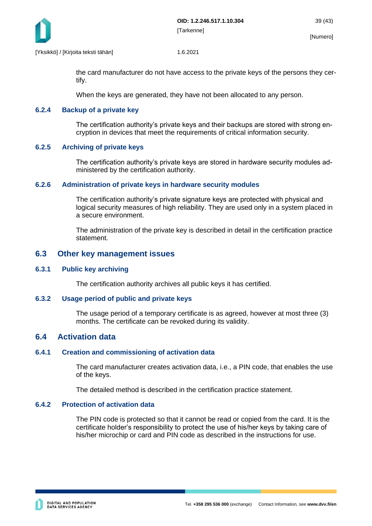

the card manufacturer do not have access to the private keys of the persons they certify.

When the keys are generated, they have not been allocated to any person.

#### <span id="page-39-0"></span>**6.2.4 Backup of a private key**

The certification authority's private keys and their backups are stored with strong encryption in devices that meet the requirements of critical information security.

#### <span id="page-39-1"></span>**6.2.5 Archiving of private keys**

The certification authority's private keys are stored in hardware security modules administered by the certification authority.

#### <span id="page-39-2"></span>**6.2.6 Administration of private keys in hardware security modules**

The certification authority's private signature keys are protected with physical and logical security measures of high reliability. They are used only in a system placed in a secure environment.

The administration of the private key is described in detail in the certification practice statement.

#### <span id="page-39-3"></span>**6.3 Other key management issues**

#### <span id="page-39-4"></span>**6.3.1 Public key archiving**

The certification authority archives all public keys it has certified.

#### <span id="page-39-5"></span>**6.3.2 Usage period of public and private keys**

The usage period of a temporary certificate is as agreed, however at most three (3) months. The certificate can be revoked during its validity.

#### <span id="page-39-6"></span>**6.4 Activation data**

#### <span id="page-39-7"></span>**6.4.1 Creation and commissioning of activation data**

The card manufacturer creates activation data, i.e., a PIN code, that enables the use of the keys.

The detailed method is described in the certification practice statement.

#### <span id="page-39-8"></span>**6.4.2 Protection of activation data**

The PIN code is protected so that it cannot be read or copied from the card. It is the certificate holder's responsibility to protect the use of his/her keys by taking care of his/her microchip or card and PIN code as described in the instructions for use.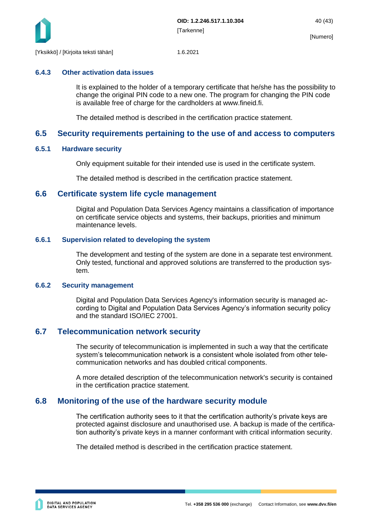

#### <span id="page-40-0"></span>**6.4.3 Other activation data issues**

It is explained to the holder of a temporary certificate that he/she has the possibility to change the original PIN code to a new one. The program for changing the PIN code is available free of charge for the cardholders at www.fineid.fi.

The detailed method is described in the certification practice statement.

## <span id="page-40-1"></span>**6.5 Security requirements pertaining to the use of and access to computers**

#### <span id="page-40-2"></span>**6.5.1 Hardware security**

Only equipment suitable for their intended use is used in the certificate system.

The detailed method is described in the certification practice statement.

#### <span id="page-40-3"></span>**6.6 Certificate system life cycle management**

Digital and Population Data Services Agency maintains a classification of importance on certificate service objects and systems, their backups, priorities and minimum maintenance levels.

#### <span id="page-40-4"></span>**6.6.1 Supervision related to developing the system**

The development and testing of the system are done in a separate test environment. Only tested, functional and approved solutions are transferred to the production system.

#### <span id="page-40-5"></span>**6.6.2 Security management**

Digital and Population Data Services Agency's information security is managed according to Digital and Population Data Services Agency's information security policy and the standard ISO/IEC 27001.

## <span id="page-40-6"></span>**6.7 Telecommunication network security**

The security of telecommunication is implemented in such a way that the certificate system's telecommunication network is a consistent whole isolated from other telecommunication networks and has doubled critical components.

A more detailed description of the telecommunication network's security is contained in the certification practice statement.

## <span id="page-40-7"></span>**6.8 Monitoring of the use of the hardware security module**

The certification authority sees to it that the certification authority's private keys are protected against disclosure and unauthorised use. A backup is made of the certification authority's private keys in a manner conformant with critical information security.

The detailed method is described in the certification practice statement.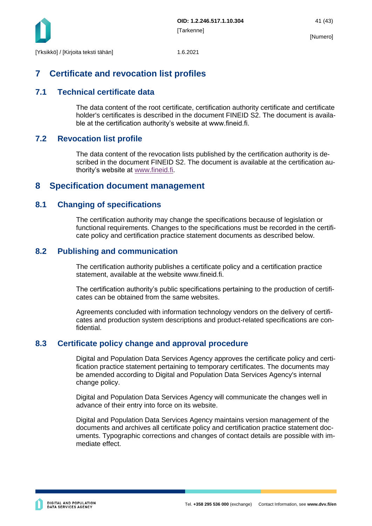

## <span id="page-41-0"></span>**7 Certificate and revocation list profiles**

## <span id="page-41-1"></span>**7.1 Technical certificate data**

The data content of the root certificate, certification authority certificate and certificate holder's certificates is described in the document FINEID S2. The document is available at the certification authority's website at www.fineid.fi.

## <span id="page-41-2"></span>**7.2 Revocation list profile**

The data content of the revocation lists published by the certification authority is described in the document FINEID S2. The document is available at the certification authority's website at [www.fineid.fi.](http://www.fineid.fi/)

## <span id="page-41-3"></span>**8 Specification document management**

## <span id="page-41-4"></span>**8.1 Changing of specifications**

The certification authority may change the specifications because of legislation or functional requirements. Changes to the specifications must be recorded in the certificate policy and certification practice statement documents as described below.

## <span id="page-41-5"></span>**8.2 Publishing and communication**

The certification authority publishes a certificate policy and a certification practice statement, available at the website www.fineid.fi.

The certification authority's public specifications pertaining to the production of certificates can be obtained from the same websites.

Agreements concluded with information technology vendors on the delivery of certificates and production system descriptions and product-related specifications are confidential.

## <span id="page-41-6"></span>**8.3 Certificate policy change and approval procedure**

Digital and Population Data Services Agency approves the certificate policy and certification practice statement pertaining to temporary certificates. The documents may be amended according to Digital and Population Data Services Agency's internal change policy.

Digital and Population Data Services Agency will communicate the changes well in advance of their entry into force on its website.

Digital and Population Data Services Agency maintains version management of the documents and archives all certificate policy and certification practice statement documents. Typographic corrections and changes of contact details are possible with immediate effect.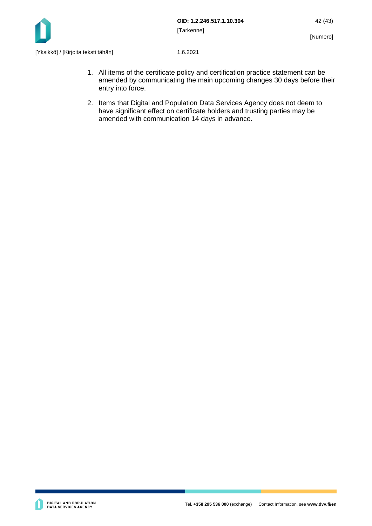

- 1. All items of the certificate policy and certification practice statement can be amended by communicating the main upcoming changes 30 days before their entry into force.
- 2. Items that Digital and Population Data Services Agency does not deem to have significant effect on certificate holders and trusting parties may be amended with communication 14 days in advance.